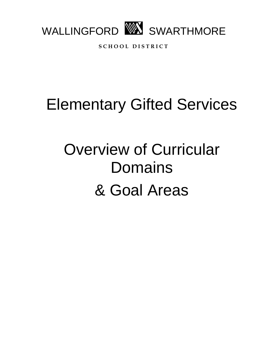

**S C H O O L D I S T R I C T**

## Elementary Gifted Services

# Overview of Curricular Domains & Goal Areas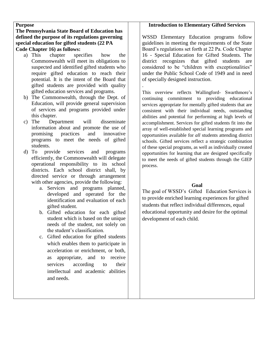#### **Purpose**

#### **The Pennsylvania State Board of Education has defined the purpose of its regulations governing special education for gifted students (22 PA Code Chapter 16) as follows:**

- a) This chapter specifies how the Commonwealth will meet its obligations to suspected and identified gifted students who require gifted education to reach their potential. It is the intent of the Board that gifted students are provided with quality gifted education services and programs.
- b) The Commonwealth, through the Dept. of Education, will provide general supervision of services and programs provided under this chapter.
- c) The Department will disseminate information about and promote the use of promising practices and innovative programs to meet the needs of gifted students.
- d) To provide services and programs efficiently, the Commonwealth will delegate operational responsibility to its school districts. Each school district shall, by directed service or through arrangement with other agencies, provide the following:
	- a. Services and programs planned, developed and operated for the identification and evaluation of each gifted student.
	- b. Gifted education for each gifted student which is based on the unique needs of the student, not solely on the student's classification.
	- c. Gifted education for gifted students which enables them to participate in acceleration or enrichment, or both, as appropriate, and to receive services according to their intellectual and academic abilities and needs.

### **Introduction to Elementary Gifted Services**

WSSD Elementary Education programs follow guidelines in meeting the requirements of the State Board's regulations set forth at 22 Pa. Code Chapter 16 - Special Education for Gifted Students. The district recognizes that gifted students are considered to be "children with exceptionalities" under the Public School Code of 1949 and in need of specially designed instruction. .

This overview reflects Wallingford- Swarthmore's continuing commitment to providing educational services appropriate for mentally gifted students that are consistent with their individual needs, outstanding abilities and potential for performing at high levels of accomplishment. Services for gifted students fit into the array of well-established special learning programs and opportunities available for *all* students attending district schools. Gifted services reflect a strategic combination of these special programs, as well as individually created opportunities for learning that are designed specifically to meet the needs of gifted students through the GIEP process.

#### **Goal**

The goal of WSSD's Gifted Education Services is to provide enriched learning experiences for gifted students that reflect individual differences, equal educational opportunity and desire for the optimal development of each child.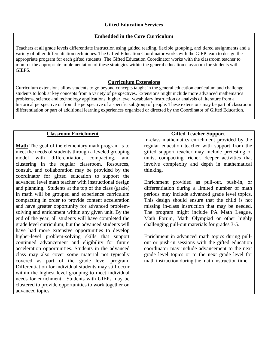#### **Embedded in the Core Curriculum**

Teachers at all grade levels differentiate instruction using guided reading, flexible grouping, and tiered assignments and a variety of other differentiation techniques. The Gifted Education Coordinator works with the GIEP team to design the appropriate program for each gifted students. The Gifted Education Coordinator works with the classroom teacher to monitor the appropriate implementation of these strategies within the general education classroom for students with GIEPS.

#### **Curriculum Extensions**

Curriculum extensions allow students to go beyond concepts taught in the general education curriculum and challenge students to look at key concepts from a variety of perspectives. Extensions might include more advanced mathematics problems, science and technology applications, higher level vocabulary instruction or analysis of literature from a historical perspective or from the perspective of a specific subgroup of people. These extensions may be part of classroom differentiation or part of additional learning experiences organized or directed by the Coordinator of Gifted Education.

#### **Classroom Enrichment**

**Math** The goal of the elementary math program is to meet the needs of students through a leveled grouping model with differentiation, compacting, and clustering in the regular classroom. Resources, consult, and collaboration may be provided by the coordinator for gifted education to support the advanced level math teacher with instructional design and planning. Students at the top of the class (grade) in math will be grouped and experience curriculum compacting in order to provide content acceleration and have greater opportunity for advanced problemsolving and enrichment within any given unit. By the end of the year, all students will have completed the grade level curriculum, but the advanced students will have had more extensive opportunities to develop higher-level problem-solving skills that support continued advancement and eligibility for future acceleration opportunities. Students in the advanced class may also cover some material not typically covered as part of the grade level program. Differentiation for individual students may still occur within the highest level grouping to meet individual needs for enrichment. Students with GIEPs may be clustered to provide opportunities to work together on advanced topics.

#### **Gifted Teacher Support**

In-class mathematics enrichment provided by the regular education teacher with support from the gifted support teacher may include pretesting of units, compacting, richer, deeper activities that involve complexity and depth in mathematical thinking.

Enrichment provided as pull-out, push-in, or differentiation during a limited number of math periods may include advanced grade level topics. This design should ensure that the child is not missing in-class instruction that may be needed. The program might include PA Math League, Math Forum, Math Olympiad or other highly challenging pull-out materials for grades 3-5.

Enrichment in advanced math topics during pullout or push-in sessions with the gifted education coordinator may include advancement to the next grade level topics or to the next grade level for math instruction during the math instruction time.